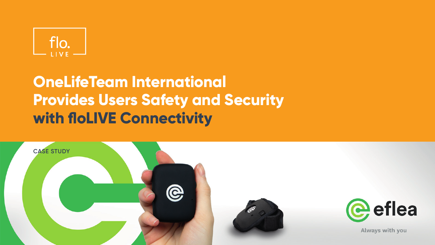

# **OneLifeTeam International Provides Users Safety and Security with floLIVE Connectivity**

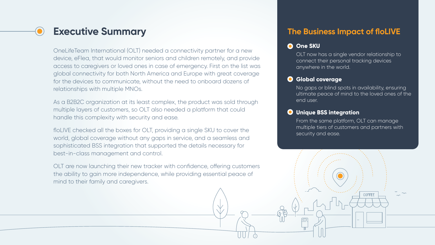### **Executive Summary**

OneLifeTeam International (OLT) needed a connectivity partner for a new device, eFlea, that would monitor seniors and children remotely, and provide access to caregivers or loved ones in case of emergency. First on the list was global connectivity for both North America and Europe with great coverage for the devices to communicate, without the need to onboard dozens of relationships with multiple MNOs.

As a B2B2C organization at its least complex, the product was sold through multiple layers of customers, so OLT also needed a platform that could handle this complexity with security and ease.

floLIVE checked all the boxes for OLT, providing a single SKU to cover the world, global coverage without any gaps in service, and a seamless and sophisticated BSS integration that supported the details necessary for best-in-class management and control.

OLT are now launching their new tracker with confidence, offering customers the ability to gain more independence, while providing essential peace of mind to their family and caregivers.

### **The Business Impact of floLIVE**

#### **One SKU**

OLT now has a single vendor relationship to connect their personal tracking devices anywhere in the world.

#### **Global coverage**

No gaps or blind spots in availability, ensuring ultimate peace of mind to the loved ones of the end user.

#### **Unique BSS integration**

From the same platform, OLT can manage multiple tiers of customers and partners with security and ease.

**COFFEE**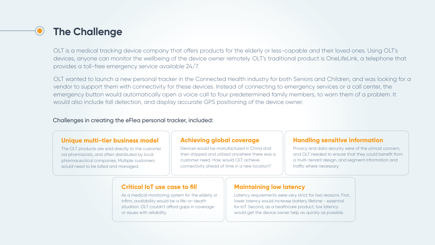## **The Challenge**

OLT is a medical tracking device company that offers products for the elderly or less-capable and their loved ones. Using OLT's devices, anyone can monitor the wellbeing of the device owner remotely. OLT's traditional product is OneLifeLink, a telephone that provides a toll-free emergency service available 24/7.

OLT wanted to launch a new personal tracker in the Connected Health industry for both Seniors and Children, and was looking for a vendor to support them with connectivity for these devices. Instead of connecting to emergency services or a call center, the emergency button would automatically open a voice call to four predetermined family members, to warn them of a problem. It would also include fall detection, and display accurate GPS positioning of the device owner.

#### Challenges in creating the eFlea personal tracker, included:

#### **Unique multi-tier business model**

The OLT products are sold directly to the customer via pharmacists, and often distributed by local pharmaceutical companies. Multiple customers would need to be billed and managed.

#### **Achieving global coverage**

Devices would be manufactured in China and then shipped and utilized anywhere there was a customer need. How would OLT achieve connectivity ahead of time in a new location?

#### **Handling sensitive information**

Privacy and data security were of the utmost concern, and OLT needed to ensure that they could benefit from a multi-tenant design, and segment information and traffic where necessary.

#### **Critical IoT use case to fill**

As a medical monitoring system for the elderly or infirm, availability would be a life-or-death situation. OLT couldn't afford gaps in coverage or issues with reliability.

#### **Maintaining low latency**

Latency requirements were very strict for two reasons. First, lower latency would increase battery lifetime - essential for IoT. Second, as a healthcare product, low latency would get the device owner help as quickly as possible.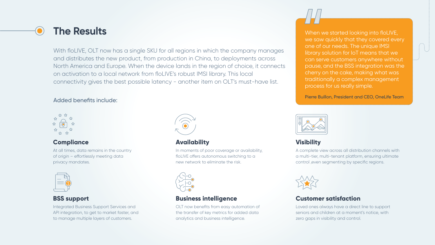With floLIVE, OLT now has a single SKU for all regions in which the company manages and distributes the new product, from production in China, to deployments across North America and Europe. When the device lands in the region of choice, it connects on activation to a local network from floLIVE's robust IMSI library. This local connectivity gives the best possible latency - another item on OLT's must-have list.

#### Added benefits include:



#### **Compliance**

At all times, data remains in the country of origin - effortlessly meeting data privacy mandates.



#### **BSS support**

Integrated Business Support Services and API integration, to get to market faster, and to manage multiple layers of customers.



#### **Availability**

In moments of poor coverage or availability, floLIVE offers autonomous switching to a new network to eliminate the risk.



#### **Business intelligence**

OLT now benefits from easy automation of the transfer of key metrics for added data analytics and business intelligence.



**The Results** When we started looking into floLIVE, we saw quickly that they covered every one of our needs. The unique IMSI library solution for IoT means that we can serve customers anywhere without pause, and the BSS integration was the cherry on the cake, making what was traditionally a complex management process for us really simple.

Pierre Buillon, President and CEO, OneLife Team



#### **Visibility**

A complete view across all distribution channels with a multi-tier, multi-tenant platform, ensuring ultimate control ,even segmenting by specific regions.



#### **Customer satisfaction**

Loved ones always have a direct line to support seniors and children at a moment's notice, with zero gaps in visibility and control.